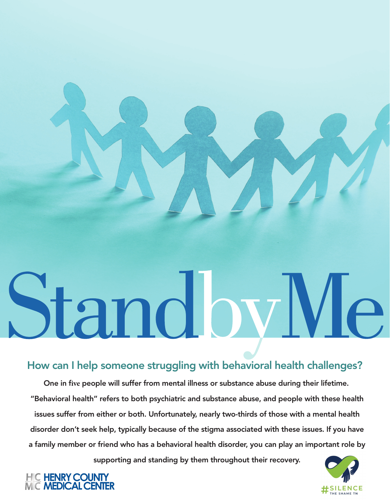# Standby VI.

# How can I help someone struggling with behavioral health challenges?

One in f**ive** people will suffer from mental illness or substance abuse during their lifetime. "Behavioral health" refers to both psychiatric and substance abuse, and people with these health issues suffer from either or both. Unfortunately, nearly two-thirds of those with a mental health disorder don't seek help, typically because of the stigma associated with these issues. If you have a family member or friend who has a behavioral health disorder, you can play an important role by

supporting and standing by them throughout their recovery.